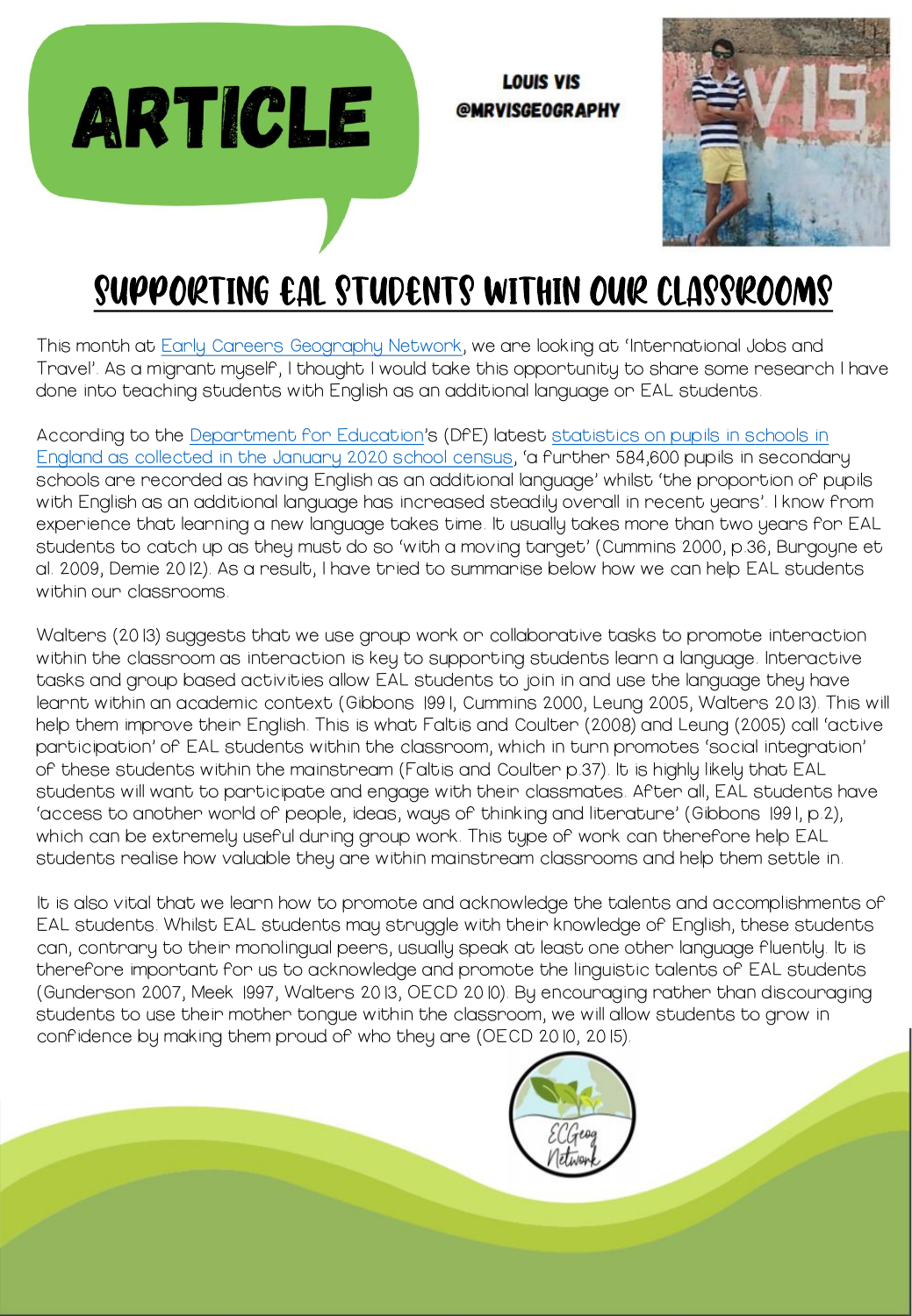**LOUIS VIS** @MRVISGEOGRAPHY



## Supporting EAL students within our classrooms

**ARTICLE** 

This month at [Early Careers Geography Network](https://www.earlygeognetwork.com/), we are looking at 'International Jobs and Travel'. As a migrant myself, I thought I would take this opportunity to share some research I have done into teaching students with English as an additional language or EAL students.

According to the [Department for Education](https://www.gov.uk/government/organisations/department-for-education)'s (DfE) latest statistics on pupils in schools in [England as collected in the January 2020 school census](https://explore-education-statistics.service.gov.uk/find-statistics/school-pupils-and-their-characteristics), 'a further 584,600 pupils in secondary schools are recorded as having English as an additional language' whilst 'the proportion of pupils with English as an additional language has increased steadily overall in recent years'. I know from experience that learning a new language takes time. It usually takes more than two years for EAL students to catch up as they must do so 'with a moving target' (Cummins 2000, p.36, Burgoyne et al. 2009, Demie 2012). As a result, I have tried to summarise below how we can help EAL students within our classrooms.

Walters (2013) suggests that we use group work or collaborative tasks to promote interaction within the classroom as interaction is key to supporting students learn a language. Interactive tasks and group based activities allow EAL students to join in and use the language they have learnt within an academic context (Gibbons 1991, Cummins 2000, Leung 2005, Walters 2013). This will help them improve their English. This is what Faltis and Coulter (2008) and Leung (2005) call 'active participation' of EAL students within the classroom, which in turn promotes 'social integration' of these students within the mainstream (Faltis and Coulter p.37). It is highly likely that EAL students will want to participate and engage with their classmates. After all, EAL students have 'access to another world of people, ideas, ways of thinking and literature' (Gibbons 1991, p.2), which can be extremely useful during group work. This type of work can therefore help EAL students realise how valuable they are within mainstream classrooms and help them settle in.

It is also vital that we learn how to promote and acknowledge the talents and accomplishments of EAL students. Whilst EAL students may struggle with their knowledge of English, these students can, contrary to their monolingual peers, usually speak at least one other language fluently. It is therefore important for us to acknowledge and promote the linguistic talents of EAL students (Gunderson 2007, Meek 1997, Walters 2013, OECD 2010). By encouraging rather than discouraging students to use their mother tongue within the classroom, we will allow students to grow in confidence by making them proud of who they are (OECD 2010, 2015).

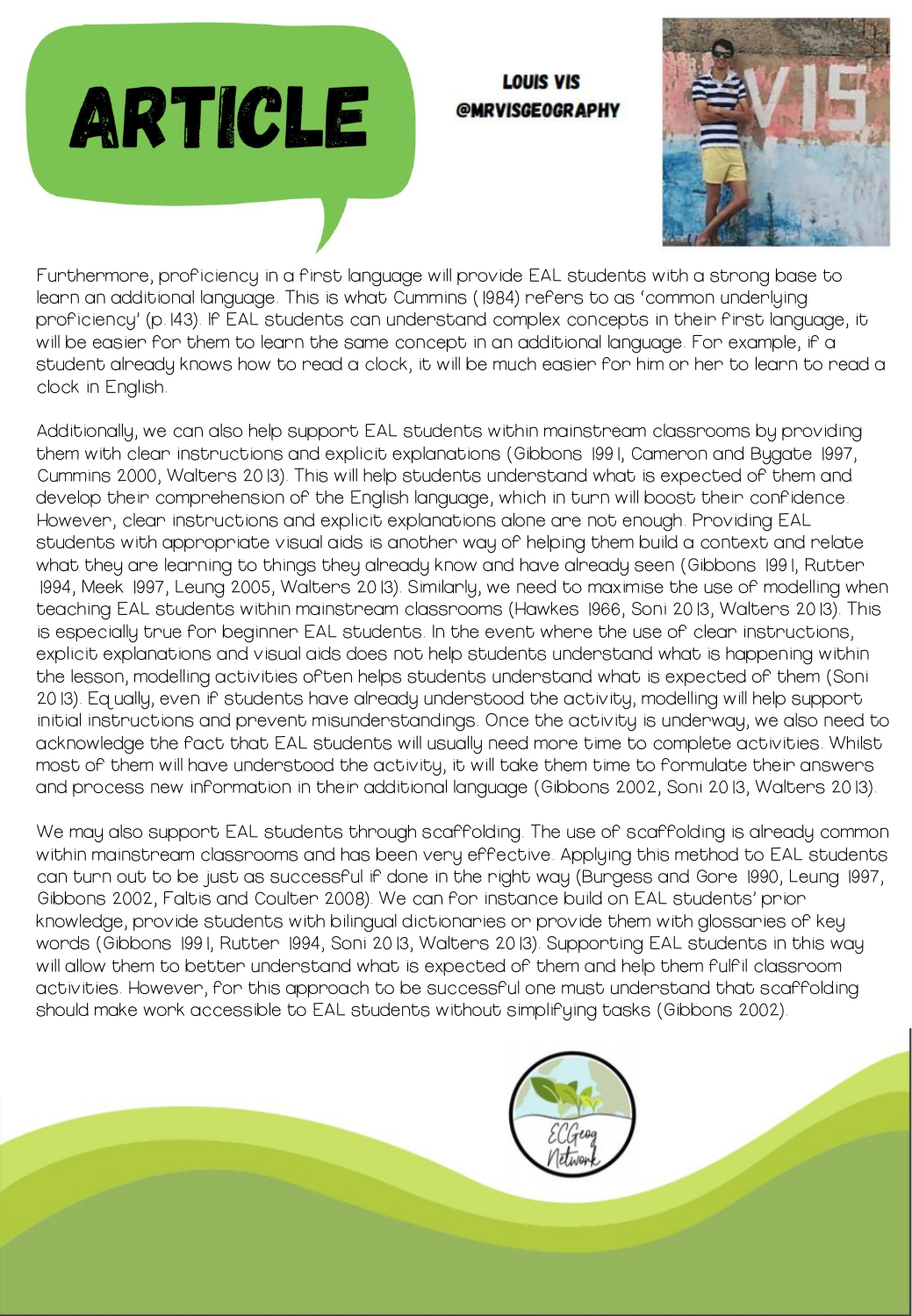



Furthermore, proficiency in a first language will provide EAL students with a strong base to learn an additional language. This is what Cummins (1984) refers to as 'common underlying proficiency' (p.143). If EAL students can understand complex concepts in their first language, it will be easier for them to learn the same concept in an additional language. For example, if a student already knows how to read a clock, it will be much easier for him or her to learn to read a clock in English.

**ARTICLE** 

Additionally, we can also help support EAL students within mainstream classrooms by providing them with clear instructions and explicit explanations (Gibbons 1991, Cameron and Bygate 1997, Cummins 2000, Walters 2013). This will help students understand what is expected of them and develop their comprehension of the English language, which in turn will boost their confidence. However, clear instructions and explicit explanations alone are not enough. Providing EAL students with appropriate visual aids is another way of helping them build a context and relate what they are learning to things they already know and have already seen (Gibbons 1991, Rutter 1994, Meek 1997, Leung 2005, Walters 2013). Similarly, we need to maximise the use of modelling when teaching EAL students within mainstream classrooms (Hawkes 1966, Soni 2013, Walters 2013). This is especially true for beginner EAL students. In the event where the use of clear instructions, explicit explanations and visual aids does not help students understand what is happening within the lesson, modelling activities often helps students understand what is expected of them (Soni 2013). Equally, even if students have already understood the activity, modelling will help support initial instructions and prevent misunderstandings. Once the activity is underway, we also need to acknowledge the fact that EAL students will usually need more time to complete activities. Whilst most of them will have understood the activity, it will take them time to formulate their answers and process new information in their additional language (Gibbons 2002, Soni 2013, Walters 2013).

We may also support EAL students through scaffolding. The use of scaffolding is already common within mainstream classrooms and has been very effective. Applying this method to EAL students can turn out to be just as successful if done in the right way (Burgess and Gore 1990, Leung 1997, Gibbons 2002, Faltis and Coulter 2008). We can for instance build on EAL students' prior knowledge, provide students with bilingual dictionaries or provide them with glossaries of key words (Gibbons 1991, Rutter 1994, Soni 2013, Walters 2013). Supporting EAL students in this way will allow them to better understand what is expected of them and help them fulfil classroom activities. However, for this approach to be successful one must understand that scaffolding should make work accessible to EAL students without simplifying tasks (Gibbons 2002).

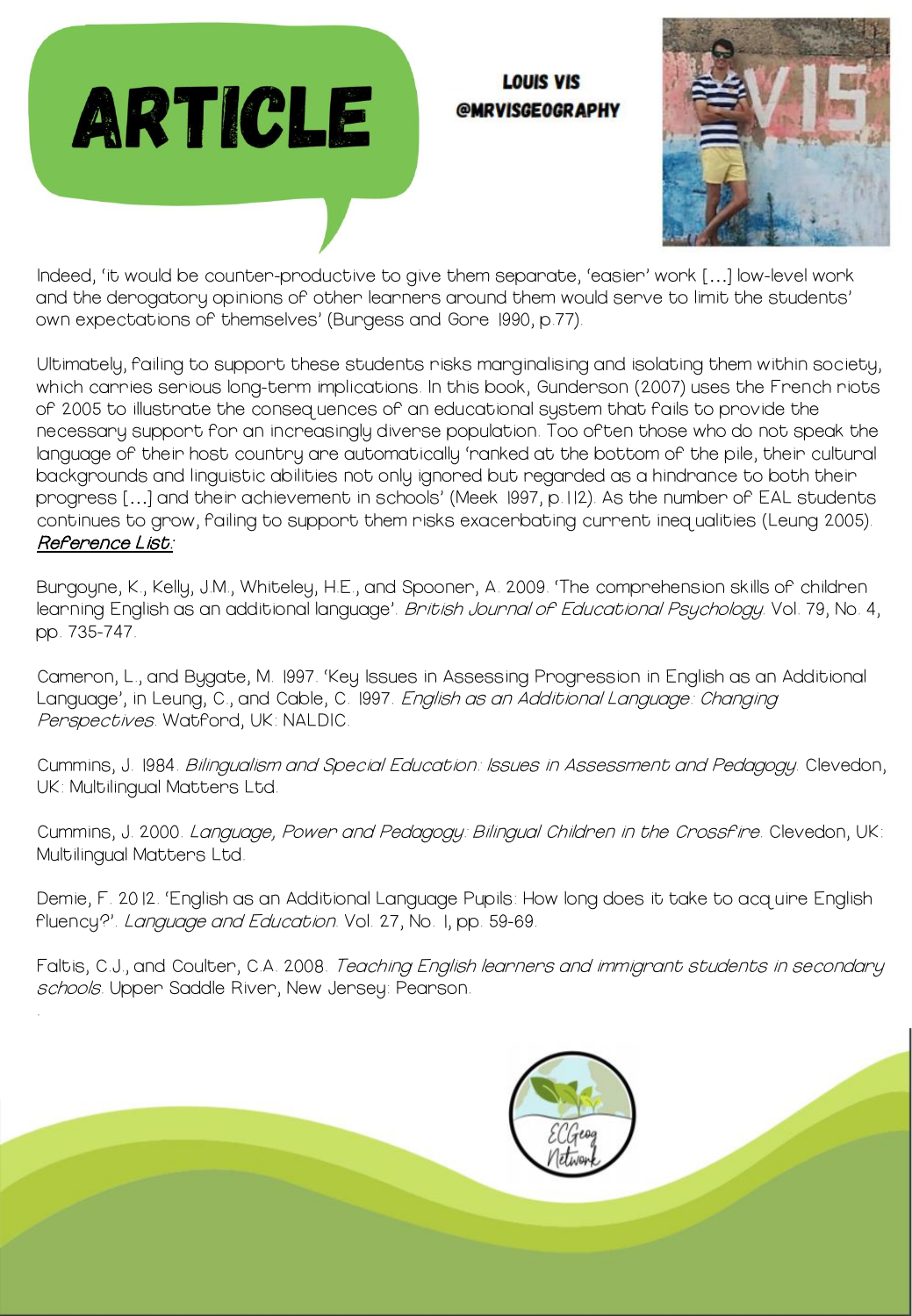

.

## **LOUIS VIS** @MRVISGEOGRAPHY



Indeed, 'it would be counter-productive to give them separate, 'easier' work […] low-level work and the derogatory opinions of other learners around them would serve to limit the students' own expectations of themselves' (Burgess and Gore 1990, p.77).

Ultimately, failing to support these students risks marginalising and isolating them within society, which carries serious long-term implications. In this book, Gunderson (2007) uses the French riots of 2005 to illustrate the consequences of an educational system that fails to provide the necessary support for an increasingly diverse population. Too often those who do not speak the language of their host country are automatically 'ranked at the bottom of the pile, their cultural backgrounds and linguistic abilities not only ignored but regarded as a hindrance to both their progress […] and their achievement in schools' (Meek 1997, p.112). As the number of EAL students continues to grow, failing to support them risks exacerbating current inequalities (Leung 2005). Reference List:

Burgoyne, K., Kelly, J.M., Whiteley, H.E., and Spooner, A. 2009. 'The comprehension skills of children learning English as an additional language'. *British Journal of Educational Psychology.* Vol. 79, No. 4, pp. 735-747.

Cameron, L., and Bygate, M. 1997. 'Key Issues in Assessing Progression in English as an Additional Language', in Leung, C., and Cable, C. 1997. English as an Additional Language: Changing Perspectives. Watford, UK: NALDIC.

Cummins, J. 1984. Bilingualism and Special Education: Issues in Assessment and Pedagogy. Clevedon, UK: Multilingual Matters Ltd.

Cummins, J. 2000. Language, Power and Pedagogy: Bilingual Children in the Crossfire. Clevedon, UK: Multilingual Matters Ltd.

Demie, F. 2012. 'English as an Additional Language Pupils: How long does it take to acquire English fluency?'. Language and Education. Vol. 27, No. I, pp. 59-69.

Faltis, C.J., and Coulter, C.A. 2008. *Teaching English learners and immigrant students in secondary* schools. Upper Saddle River, New Jersey: Pearson.